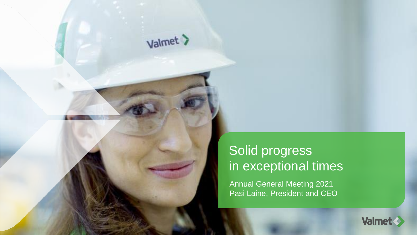### Solid progress in exceptional times

Valmet >

Annual General Meeting 2021 Pasi Laine, President and CEO

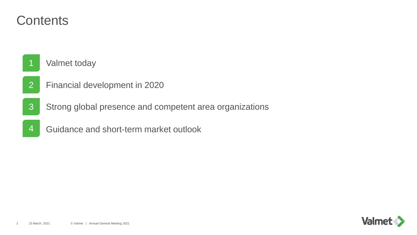#### **Contents**

**Valmet today** 

- Financial development in 2020
- Strong global presence and competent area organizations
- Guidance and short-term market outlook

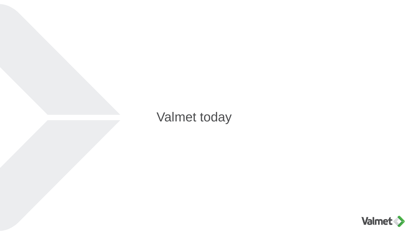### Valmet today

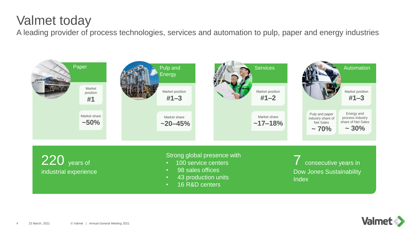### Valmet today

A leading provider of process technologies, services and automation to pulp, paper and energy industries



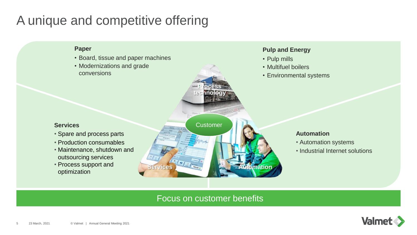### A unique and competitive offering



#### Focus on customer benefits

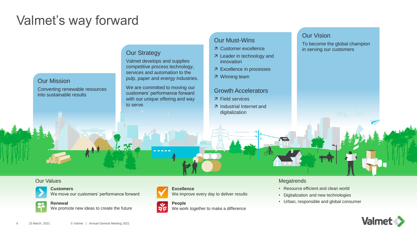### Valmet's way forward

#### Our Mission

Converting renewable resources into sustainable results

#### **Our Strategy**

Valmet develops and supplies competitive process technology, services and automation to the pulp, paper and energy industries.

We are committed to moving our customers' performance forward with our unique offering and way to serve.

 $\vec{v}$ 

#### Our Must-Wins

- Customer excellence
- 7 Leader in technology and innovation
- Excellence in processes
- Winning team

#### Growth Accelerators

- Field services
- Industrial Internet and digitalization

#### Our Vision

To become the global champion in serving our customers

#### Our Values



**Customers**  We move our customers' performance forward



**Renewal** We promote new ideas to create the future



**People** We work together to make a difference

We improve every day to deliver results

**Excellence**

#### **Megatrends**

 $\equiv$ 

- Resource efficient and clean world
- Digitalization and new technologies
- Urban, responsible and global consumer

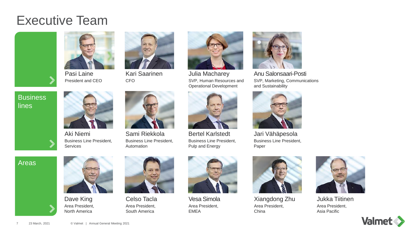#### Executive Team



**Business** 

lines



Pasi Laine President and CEO



**CFO** 



Kari Saarinen



Sami Riekkola Business Line President, Automation



Julia Macharey SVP, Human Resources and Operational Development



Bertel Karlstedt Business Line President, Pulp and Energy



Anu Salonsaari-Posti SVP, Marketing, Communications and Sustainability



Jari Vähäpesola Business Line President, Paper

Areas



Business Line President,

Aki Niemi

Services

Dave King Area President, North America





Celso Tacla Area President, South America



Vesa Simola Area President, EMEA



Xiangdong Zhu Area President, **China** 



Jukka Tiitinen Area President, Asia Pacific

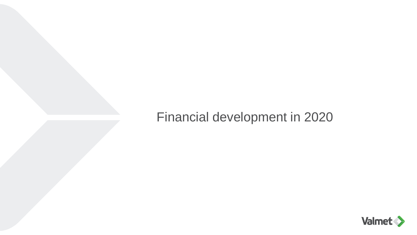### Financial development in 2020

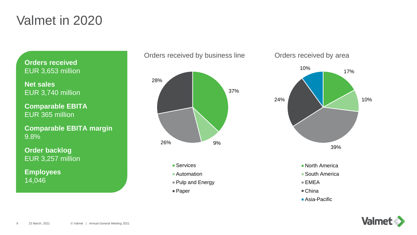#### Valmet in 2020

**Orders received** EUR 3,653 million

**Net sales**  EUR 3,740 million

**Comparable EBITA** EUR 365 million

**Comparable EBITA margin** 9.8%

**Order backlog** EUR 3,257 million

**Employees** 14,046



- Services
- Automation
- Pulp and Energy
- Paper

#### Orders received by business line **Orders received by area**



- 
- Asia-Pacific

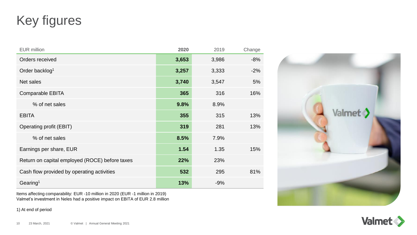### Key figures

| <b>EUR</b> million                             | 2020  | 2019  | Change |
|------------------------------------------------|-------|-------|--------|
| Orders received                                | 3,653 | 3,986 | $-8%$  |
| Order backlog <sup>1</sup>                     | 3,257 | 3,333 | $-2%$  |
| Net sales                                      | 3,740 | 3,547 | 5%     |
| <b>Comparable EBITA</b>                        | 365   | 316   | 16%    |
| % of net sales                                 | 9.8%  | 8.9%  |        |
| <b>EBITA</b>                                   | 355   | 315   | 13%    |
| <b>Operating profit (EBIT)</b>                 | 319   | 281   | 13%    |
| % of net sales                                 | 8.5%  | 7.9%  |        |
| Earnings per share, EUR                        | 1.54  | 1.35  | 15%    |
| Return on capital employed (ROCE) before taxes | 22%   | 23%   |        |
| Cash flow provided by operating activities     | 532   | 295   | 81%    |
| Gearing <sup>1</sup>                           | 13%   | $-9%$ |        |

Items affecting comparability: EUR -10 million in 2020 (EUR -1 million in 2019) Valmet's investment in Neles had a positive impact on EBITA of EUR 2.8 million

1) At end of period



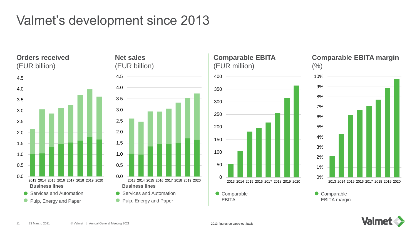### Valmet's development since 2013

**Orders received** (EUR billion)







#### **Comparable EBITA margin**



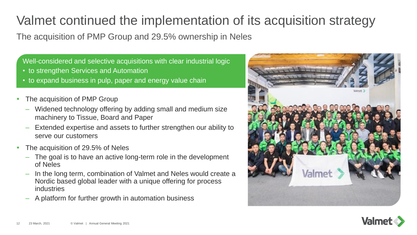### Valmet continued the implementation of its acquisition strategy

The acquisition of PMP Group and 29.5% ownership in Neles

Well-considered and selective acquisitions with clear industrial logic

- to strengthen Services and Automation
- to expand business in pulp, paper and energy value chain
- The acquisition of PMP Group
	- Widened technology offering by adding small and medium size machinery to Tissue, Board and Paper
	- Extended expertise and assets to further strengthen our ability to serve our customers
- The acquisition of 29.5% of Neles
	- The goal is to have an active long-term role in the development of Neles
	- In the long term, combination of Valmet and Neles would create a Nordic based global leader with a unique offering for process industries
	- A platform for further growth in automation business



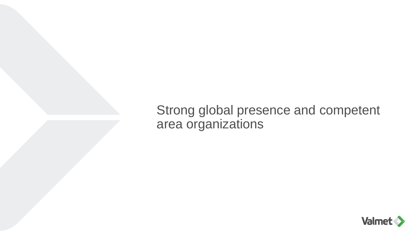Strong global presence and competent area organizations

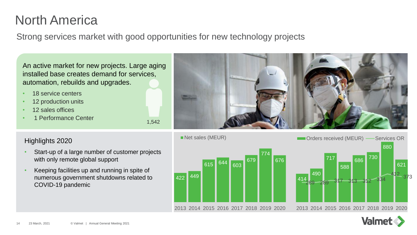### North America

Strong services market with good opportunities for new technology projects

1,542

An active market for new projects. Large aging installed base creates demand for services, automation, rebuilds and upgrades.

- 18 service centers
- 12 production units
- 12 sales offices
- 1 Performance Center



#### Highlights 2020

- Start-up of a large number of customer projects with only remote global support
- Keeping facilities up and running in spite of numerous government shutdowns related to COVID-19 pandemic



Net sales (MEUR)



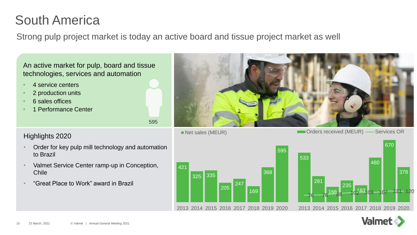### South America

Strong pulp project market is today an active board and tissue project market as well

595

An active market for pulp, board and tissue technologies, services and automation

- 4 service centers
- 2 production units
- 6 sales offices
- 1 Performance Center



Highlights 2020

- Order for key pulp mill technology and automation to Brazil
- Valmet Service Center ramp-up in Conception, Chile
- "Great Place to Work" award in Brazil





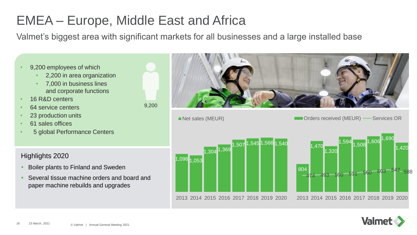## EMEA – Europe, Middle East and Africa

Valmet's biggest area with significant markets for all businesses and a large installed base

Net sales (MEUR)

- 9,200 employees of which
	- 2,200 in area organization
	- 7,000 in business lines and corporate functions
- 16 R&D centers
- 64 service centers
- 23 production units
- 61 sales offices
- 5 global Performance Centers

Highlights 2020

- Boiler plants to Finland and Sweden
- Several tissue machine orders and board and paper machine rebuilds and upgrades







Orders received (MEUR) -Services OR

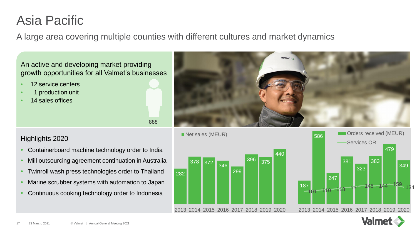### Asia Pacific

A large area covering multiple counties with different cultures and market dynamics

888

An active and developing market providing growth opportunities for all Valmet's businesses

- 12 service centers
- 1 production unit
- 14 sales offices





- Containerboard machine technology order to India
- Mill outsourcing agreement continuation in Australia
- Twinroll wash press technologies order to Thailand
- Marine scrubber systems with automation to Japan
- Continuous cooking technology order to Indonesia





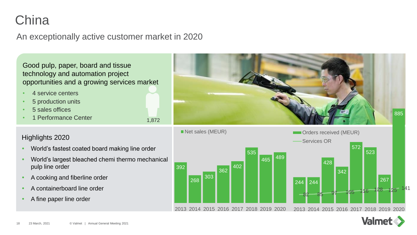### **China**

#### An exceptionally active customer market in 2020

1,872

Good pulp, paper, board and tissue technology and automation project opportunities and a growing services market

- 4 service centers
- 5 production units
- 5 sales offices
- 1 Performance Center

- World's fastest coated board making line order
- World's largest bleached chemi thermo mechanical pulp line order
- A cooking and fiberline order
- A containerboard line order
- A fine paper line order





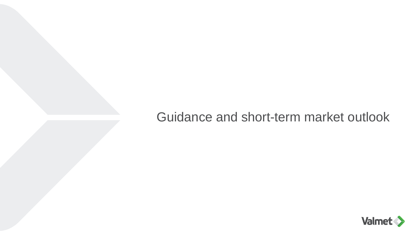#### Guidance and short-term market outlook

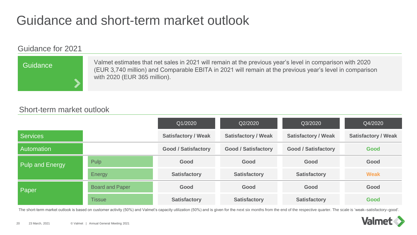### Guidance and short-term market outlook

#### Guidance for 2021

# **Guidance**

Valmet estimates that net sales in 2021 will remain at the previous year's level in comparison with 2020 (EUR 3,740 million) and Comparable EBITA in 2021 will remain at the previous year's level in comparison with 2020 (EUR 365 million).

#### Short-term market outlook

|                   |                        | Q1/2020                    | Q2/2020                    | Q3/2020                    | Q4/2020                    |
|-------------------|------------------------|----------------------------|----------------------------|----------------------------|----------------------------|
| <b>Services</b>   |                        | <b>Satisfactory / Weak</b> | <b>Satisfactory / Weak</b> | <b>Satisfactory / Weak</b> | <b>Satisfactory / Weak</b> |
| <b>Automation</b> |                        | <b>Good / Satisfactory</b> | <b>Good / Satisfactory</b> | <b>Good / Satisfactory</b> | Good                       |
| Pulp and Energy   | <b>Pulp</b>            | Good                       | Good                       | Good                       | Good                       |
|                   | Energy                 | <b>Satisfactory</b>        | <b>Satisfactory</b>        | <b>Satisfactory</b>        | <b>Weak</b>                |
| <b>Paper</b>      | <b>Board and Paper</b> | Good                       | Good                       | Good                       | Good                       |
|                   | <b>Tissue</b>          | <b>Satisfactory</b>        | <b>Satisfactory</b>        | <b>Satisfactory</b>        | Good                       |

The short-term market outlook is based on customer activity (50%) and Valmet's capacity utilization (50%) and is given for the next six months from the end of the respective quarter. The scale is 'weak–satisfactory–good'.